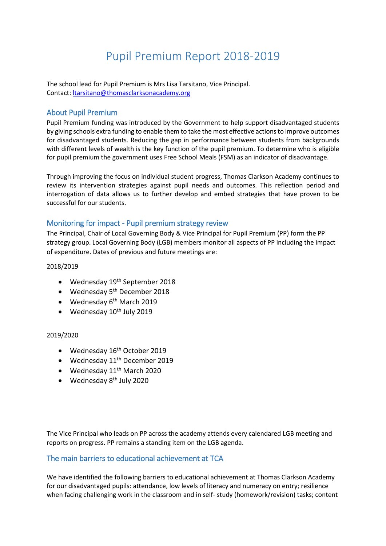# Pupil Premium Report 2018-2019

The school lead for Pupil Premium is Mrs Lisa Tarsitano, Vice Principal. Contact: [ltarsitano@thomasclarksonacademy.org](mailto:ltarsitano@thomasclarksonacademy.org)

## About Pupil Premium

Pupil Premium funding was introduced by the Government to help support disadvantaged students by giving schools extra funding to enable them to take the most effective actions to improve outcomes for disadvantaged students. Reducing the gap in performance between students from backgrounds with different levels of wealth is the key function of the pupil premium. To determine who is eligible for pupil premium the government uses Free School Meals (FSM) as an indicator of disadvantage.

Through improving the focus on individual student progress, Thomas Clarkson Academy continues to review its intervention strategies against pupil needs and outcomes. This reflection period and interrogation of data allows us to further develop and embed strategies that have proven to be successful for our students.

## Monitoring for impact - Pupil premium strategy review

The Principal, Chair of Local Governing Body & Vice Principal for Pupil Premium (PP) form the PP strategy group. Local Governing Body (LGB) members monitor all aspects of PP including the impact of expenditure. Dates of previous and future meetings are:

#### 2018/2019

- Wednesday 19<sup>th</sup> September 2018
- $\bullet$  Wednesday 5<sup>th</sup> December 2018
- $\bullet$  Wednesday 6<sup>th</sup> March 2019
- $\bullet$  Wednesday 10<sup>th</sup> July 2019

#### 2019/2020

- Wednesday 16<sup>th</sup> October 2019
- $\bullet$  Wednesday 11<sup>th</sup> December 2019
- $\bullet$  Wednesday 11<sup>th</sup> March 2020
- $\bullet$  Wednesday 8<sup>th</sup> July 2020

The Vice Principal who leads on PP across the academy attends every calendared LGB meeting and reports on progress. PP remains a standing item on the LGB agenda.

## The main barriers to educational achievement at TCA

We have identified the following barriers to educational achievement at Thomas Clarkson Academy for our disadvantaged pupils: attendance, low levels of literacy and numeracy on entry; resilience when facing challenging work in the classroom and in self- study (homework/revision) tasks; content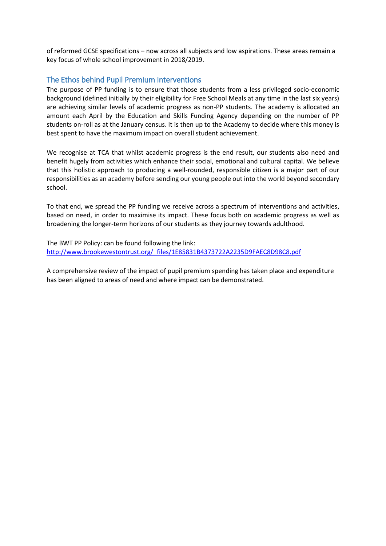of reformed GCSE specifications – now across all subjects and low aspirations. These areas remain a key focus of whole school improvement in 2018/2019.

## The Ethos behind Pupil Premium Interventions

The purpose of PP funding is to ensure that those students from a less privileged socio-economic background (defined initially by their eligibility for Free School Meals at any time in the last six years) are achieving similar levels of academic progress as non-PP students. The academy is allocated an amount each April by the Education and Skills Funding Agency depending on the number of PP students on-roll as at the January census. It is then up to the Academy to decide where this money is best spent to have the maximum impact on overall student achievement.

We recognise at TCA that whilst academic progress is the end result, our students also need and benefit hugely from activities which enhance their social, emotional and cultural capital. We believe that this holistic approach to producing a well-rounded, responsible citizen is a major part of our responsibilities as an academy before sending our young people out into the world beyond secondary school.

To that end, we spread the PP funding we receive across a spectrum of interventions and activities, based on need, in order to maximise its impact. These focus both on academic progress as well as broadening the longer-term horizons of our students as they journey towards adulthood.

The BWT PP Policy: can be found following the link: [http://www.brookewestontrust.org/\\_files/1E85831B4373722A2235D9FAEC8D98C8.pdf](http://www.brookewestontrust.org/_files/1E85831B4373722A2235D9FAEC8D98C8.pdf)

A comprehensive review of the impact of pupil premium spending has taken place and expenditure has been aligned to areas of need and where impact can be demonstrated.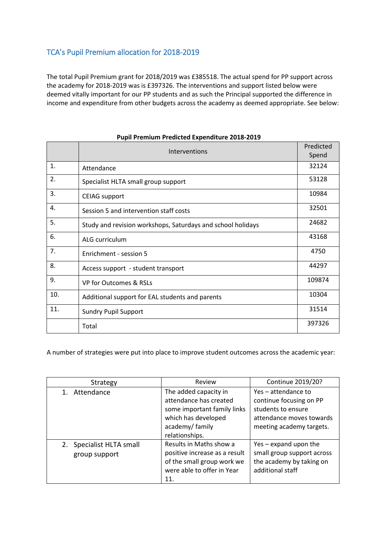# TCA's Pupil Premium allocation for 2018-2019

The total Pupil Premium grant for 2018/2019 was £385518. The actual spend for PP support across the academy for 2018-2019 was is £397326. The interventions and support listed below were deemed vitally important for our PP students and as such the Principal supported the difference in income and expenditure from other budgets across the academy as deemed appropriate. See below:

|     | Interventions                                               | Predicted<br>Spend |
|-----|-------------------------------------------------------------|--------------------|
| 1.  | Attendance                                                  | 32124              |
| 2.  | Specialist HLTA small group support                         | 53128              |
| 3.  | <b>CEIAG</b> support                                        | 10984              |
| 4.  | Session 5 and intervention staff costs                      | 32501              |
| 5.  | Study and revision workshops, Saturdays and school holidays | 24682              |
| 6.  | ALG curriculum                                              | 43168              |
| 7.  | Enrichment - session 5                                      | 4750               |
| 8.  | Access support - student transport                          | 44297              |
| 9.  | VP for Outcomes & RSLs                                      | 109874             |
| 10. | Additional support for EAL students and parents             | 10304              |
| 11. | <b>Sundry Pupil Support</b>                                 | 31514              |
|     | Total                                                       | 397326             |

#### **Pupil Premium Predicted Expenditure 2018-2019**

A number of strategies were put into place to improve student outcomes across the academic year:

| Strategy                                  | Review                                                                                                                                    | Continue 2019/20?                                                                                                            |
|-------------------------------------------|-------------------------------------------------------------------------------------------------------------------------------------------|------------------------------------------------------------------------------------------------------------------------------|
| Attendance                                | The added capacity in<br>attendance has created<br>some important family links<br>which has developed<br>academy/family<br>relationships. | Yes - attendance to<br>continue focusing on PP<br>students to ensure<br>attendance moves towards<br>meeting academy targets. |
| 2. Specialist HLTA small<br>group support | Results in Maths show a<br>positive increase as a result<br>of the small group work we<br>were able to offer in Year<br>11.               | Yes – expand upon the<br>small group support across<br>the academy by taking on<br>additional staff                          |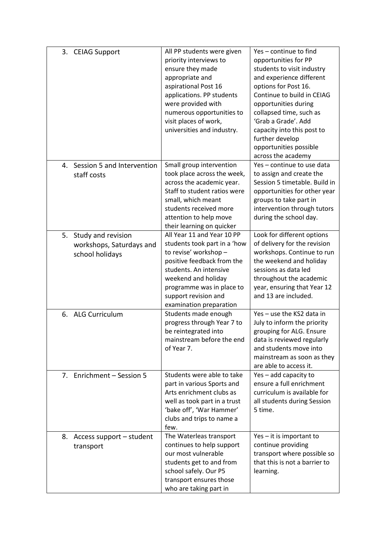| 3. CEIAG Support                                                        | All PP students were given<br>priority interviews to<br>ensure they made<br>appropriate and<br>aspirational Post 16<br>applications. PP students<br>were provided with<br>numerous opportunities to<br>visit places of work,<br>universities and industry. | Yes-continue to find<br>opportunities for PP<br>students to visit industry<br>and experience different<br>options for Post 16.<br>Continue to build in CEIAG<br>opportunities during<br>collapsed time, such as<br>'Grab a Grade'. Add<br>capacity into this post to<br>further develop<br>opportunities possible<br>across the academy |
|-------------------------------------------------------------------------|------------------------------------------------------------------------------------------------------------------------------------------------------------------------------------------------------------------------------------------------------------|-----------------------------------------------------------------------------------------------------------------------------------------------------------------------------------------------------------------------------------------------------------------------------------------------------------------------------------------|
| 4. Session 5 and Intervention<br>staff costs                            | Small group intervention<br>took place across the week,<br>across the academic year.<br>Staff to student ratios were<br>small, which meant<br>students received more<br>attention to help move<br>their learning on quicker                                | Yes - continue to use data<br>to assign and create the<br>Session 5 timetable. Build in<br>opportunities for other year<br>groups to take part in<br>intervention through tutors<br>during the school day.                                                                                                                              |
| 5.<br>Study and revision<br>workshops, Saturdays and<br>school holidays | All Year 11 and Year 10 PP<br>students took part in a 'how<br>to revise' workshop -<br>positive feedback from the<br>students. An intensive<br>weekend and holiday<br>programme was in place to<br>support revision and<br>examination preparation         | Look for different options<br>of delivery for the revision<br>workshops. Continue to run<br>the weekend and holiday<br>sessions as data led<br>throughout the academic<br>year, ensuring that Year 12<br>and 13 are included.                                                                                                           |
| 6. ALG Curriculum                                                       | Students made enough<br>progress through Year 7 to<br>be reintegrated into<br>mainstream before the end<br>of Year 7.                                                                                                                                      | Yes - use the KS2 data in<br>July to inform the priority<br>grouping for ALG. Ensure<br>data is reviewed regularly<br>and students move into<br>mainstream as soon as they<br>are able to access it.                                                                                                                                    |
| 7. Enrichment - Session 5                                               | Students were able to take<br>part in various Sports and<br>Arts enrichment clubs as<br>well as took part in a trust<br>'bake off', 'War Hammer'<br>clubs and trips to name a<br>few.                                                                      | Yes – add capacity to<br>ensure a full enrichment<br>curriculum is available for<br>all students during Session<br>5 time.                                                                                                                                                                                                              |
| 8.<br>Access support – student<br>transport                             | The Waterleas transport<br>continues to help support<br>our most vulnerable<br>students get to and from<br>school safely. Our P5<br>transport ensures those<br>who are taking part in                                                                      | $Yes - it$ is important to<br>continue providing<br>transport where possible so<br>that this is not a barrier to<br>learning.                                                                                                                                                                                                           |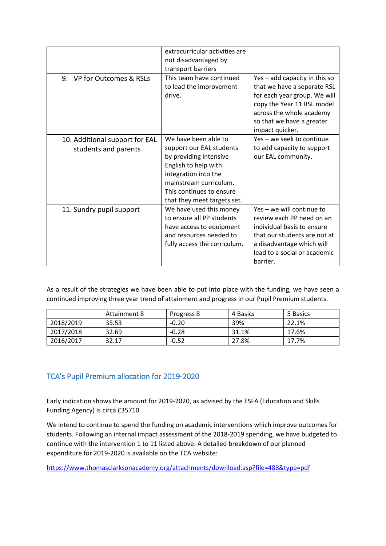|                                                        | extracurricular activities are<br>not disadvantaged by<br>transport barriers                                                                                                                                    |                                                                                                                                                                                                        |
|--------------------------------------------------------|-----------------------------------------------------------------------------------------------------------------------------------------------------------------------------------------------------------------|--------------------------------------------------------------------------------------------------------------------------------------------------------------------------------------------------------|
| 9. VP for Outcomes & RSLs                              | This team have continued<br>to lead the improvement<br>drive.                                                                                                                                                   | Yes - add capacity in this so<br>that we have a separate RSL<br>for each year group. We will<br>copy the Year 11 RSL model<br>across the whole academy<br>so that we have a greater<br>impact quicker. |
| 10. Additional support for EAL<br>students and parents | We have been able to<br>support our EAL students<br>by providing intensive<br>English to help with<br>integration into the<br>mainstream curriculum.<br>This continues to ensure<br>that they meet targets set. | Yes - we seek to continue<br>to add capacity to support<br>our EAL community.                                                                                                                          |
| 11. Sundry pupil support                               | We have used this money<br>to ensure all PP students<br>have access to equipment<br>and resources needed to<br>fully access the curriculum.                                                                     | Yes – we will continue to<br>review each PP need on an<br>individual basis to ensure<br>that our students are not at<br>a disadvantage which will<br>lead to a social or academic<br>barrier.          |

As a result of the strategies we have been able to put into place with the funding, we have seen a continued improving three year trend of attainment and progress in our Pupil Premium students.

|           | Attainment 8 | Progress 8 | 4 Basics | 5 Basics |
|-----------|--------------|------------|----------|----------|
| 2018/2019 | 35.53        | $-0.20$    | 39%      | 22.1%    |
| 2017/2018 | 32.69        | $-0.28$    | 31.1%    | 17.6%    |
| 2016/2017 | 32.17        | $-0.52$    | 27.8%    | 17.7%    |

# TCA's Pupil Premium allocation for 2019-2020

Early indication shows the amount for 2019-2020, as advised by the ESFA (Education and Skills Funding Agency) is circa £35710.

We intend to continue to spend the funding on academic interventions which improve outcomes for students. Following an internal impact assessment of the 2018-2019 spending, we have budgeted to continue with the intervention 1 to 11 listed above. A detailed breakdown of our planned expenditure for 2019-2020 is available on the TCA website:

<https://www.thomasclarksonacademy.org/attachments/download.asp?file=488&type=pdf>